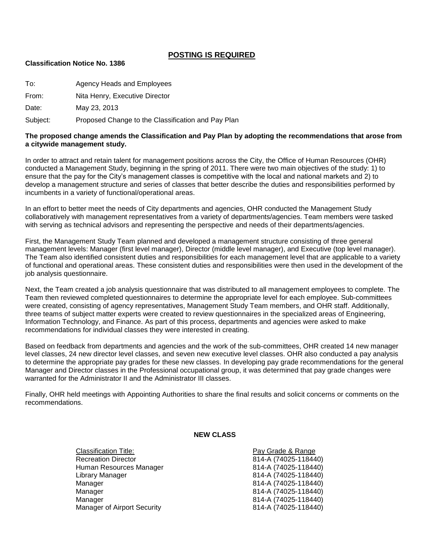## **POSTING IS REQUIRED**

#### **Classification Notice No. 1386**

To: Agency Heads and Employees From: Nita Henry, Executive Director

Date: May 23, 2013

Subject: Proposed Change to the Classification and Pay Plan

### **The proposed change amends the Classification and Pay Plan by adopting the recommendations that arose from a citywide management study.**

In order to attract and retain talent for management positions across the City, the Office of Human Resources (OHR) conducted a Management Study, beginning in the spring of 2011. There were two main objectives of the study: 1) to ensure that the pay for the City's management classes is competitive with the local and national markets and 2) to develop a management structure and series of classes that better describe the duties and responsibilities performed by incumbents in a variety of functional/operational areas.

In an effort to better meet the needs of City departments and agencies, OHR conducted the Management Study collaboratively with management representatives from a variety of departments/agencies. Team members were tasked with serving as technical advisors and representing the perspective and needs of their departments/agencies.

First, the Management Study Team planned and developed a management structure consisting of three general management levels: Manager (first level manager), Director (middle level manager), and Executive (top level manager). The Team also identified consistent duties and responsibilities for each management level that are applicable to a variety of functional and operational areas. These consistent duties and responsibilities were then used in the development of the job analysis questionnaire.

Next, the Team created a job analysis questionnaire that was distributed to all management employees to complete. The Team then reviewed completed questionnaires to determine the appropriate level for each employee. Sub-committees were created, consisting of agency representatives, Management Study Team members, and OHR staff. Additionally, three teams of subject matter experts were created to review questionnaires in the specialized areas of Engineering, Information Technology, and Finance. As part of this process, departments and agencies were asked to make recommendations for individual classes they were interested in creating.

Based on feedback from departments and agencies and the work of the sub-committees, OHR created 14 new manager level classes, 24 new director level classes, and seven new executive level classes. OHR also conducted a pay analysis to determine the appropriate pay grades for these new classes. In developing pay grade recommendations for the general Manager and Director classes in the Professional occupational group, it was determined that pay grade changes were warranted for the Administrator II and the Administrator III classes.

Finally, OHR held meetings with Appointing Authorities to share the final results and solicit concerns or comments on the recommendations.

#### **NEW CLASS**

Classification Title: Pay Grade & Range Recreation Director 814-A (74025-118440) Human Resources Manager 814-A (74025-118440) Library Manager 814-A (74025-118440) Manager 814-A (74025-118440) Manager 814-A (74025-118440) Manager 814-A (74025-118440) Manager of Airport Security **814-A** (74025-118440)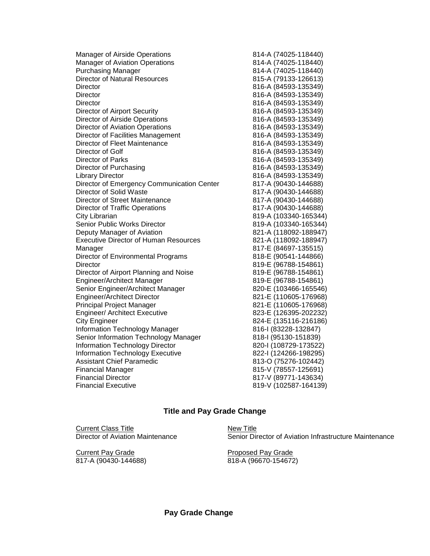| <b>Manager of Airside Operations</b>         | 814-A (74025-118440)  |
|----------------------------------------------|-----------------------|
| <b>Manager of Aviation Operations</b>        | 814-A (74025-118440)  |
| <b>Purchasing Manager</b>                    | 814-A (74025-118440)  |
| <b>Director of Natural Resources</b>         | 815-A (79133-126613)  |
| Director                                     | 816-A (84593-135349)  |
| Director                                     | 816-A (84593-135349)  |
| Director                                     | 816-A (84593-135349)  |
| <b>Director of Airport Security</b>          | 816-A (84593-135349)  |
| Director of Airside Operations               | 816-A (84593-135349)  |
| Director of Aviation Operations              | 816-A (84593-135349)  |
| Director of Facilities Management            | 816-A (84593-135349)  |
| Director of Fleet Maintenance                | 816-A (84593-135349)  |
| Director of Golf                             | 816-A (84593-135349)  |
| Director of Parks                            | 816-A (84593-135349)  |
| Director of Purchasing                       | 816-A (84593-135349)  |
| <b>Library Director</b>                      | 816-A (84593-135349)  |
| Director of Emergency Communication Center   | 817-A (90430-144688)  |
| Director of Solid Waste                      | 817-A (90430-144688)  |
| Director of Street Maintenance               | 817-A (90430-144688)  |
| <b>Director of Traffic Operations</b>        | 817-A (90430-144688)  |
| City Librarian                               | 819-A (103340-165344) |
| Senior Public Works Director                 | 819-A (103340-165344) |
| Deputy Manager of Aviation                   | 821-A (118092-188947) |
| <b>Executive Director of Human Resources</b> | 821-A (118092-188947) |
| Manager                                      | 817-E (84697-135515)  |
| Director of Environmental Programs           | 818-E (90541-144866)  |
| Director                                     | 819-E (96788-154861)  |
| Director of Airport Planning and Noise       | 819-E (96788-154861)  |
| Engineer/Architect Manager                   | 819-E (96788-154861)  |
| Senior Engineer/Architect Manager            | 820-E (103466-165546) |
| <b>Engineer/Architect Director</b>           | 821-E (110605-176968) |
| <b>Principal Project Manager</b>             | 821-E (110605-176968) |
| <b>Engineer/ Architect Executive</b>         | 823-E (126395-202232) |
| <b>City Engineer</b>                         | 824-E (135116-216186) |
| Information Technology Manager               | 816-1 (83228-132847)  |
| Senior Information Technology Manager        | 818-I (95130-151839)  |
| Information Technology Director              | 820-I (108729-173522) |
| <b>Information Technology Executive</b>      | 822-I (124266-198295) |
| <b>Assistant Chief Paramedic</b>             | 813-O (75276-102442)  |
| <b>Financial Manager</b>                     | 815-V (78557-125691)  |
| <b>Financial Director</b>                    | 817-V (89771-143634)  |
| <b>Financial Executive</b>                   | 819-V (102587-164139) |

# **Title and Pay Grade Change**

Current Class Title<br>
Director of Aviation Maintenance<br>
Senior Dir

**Current Pay Grade Proposed Pay Grade** 817-A (90430-144688) 818-A (96670-154672)

Senior Director of Aviation Infrastructure Maintenance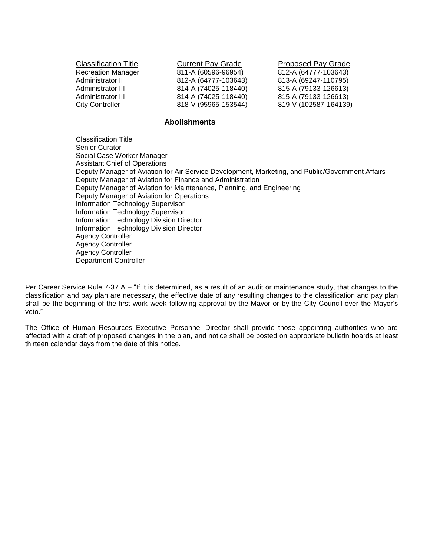| <b>Classification Title</b> | <b>Current Pay Grade</b> | <b>Proposed Pay Grade</b> |
|-----------------------------|--------------------------|---------------------------|
| <b>Recreation Manager</b>   | 811-A (60596-96954)      | 812-A (64777-103643)      |
| Administrator II            | 812-A (64777-103643)     | 813-A (69247-110795)      |
| Administrator III           | 814-A (74025-118440)     | 815-A (79133-126613)      |
| Administrator III           | 814-A (74025-118440)     | 815-A (79133-126613)      |
| <b>City Controller</b>      | 818-V (95965-153544)     | 819-V (102587-164139)     |

## **Abolishments**

Classification Title Senior Curator Social Case Worker Manager Assistant Chief of Operations Deputy Manager of Aviation for Air Service Development, Marketing, and Public/Government Affairs Deputy Manager of Aviation for Finance and Administration Deputy Manager of Aviation for Maintenance, Planning, and Engineering Deputy Manager of Aviation for Operations Information Technology Supervisor Information Technology Supervisor Information Technology Division Director Information Technology Division Director Agency Controller Agency Controller Agency Controller Department Controller

Per Career Service Rule 7-37 A – "If it is determined, as a result of an audit or maintenance study, that changes to the classification and pay plan are necessary, the effective date of any resulting changes to the classification and pay plan shall be the beginning of the first work week following approval by the Mayor or by the City Council over the Mayor's veto."

The Office of Human Resources Executive Personnel Director shall provide those appointing authorities who are affected with a draft of proposed changes in the plan, and notice shall be posted on appropriate bulletin boards at least thirteen calendar days from the date of this notice.